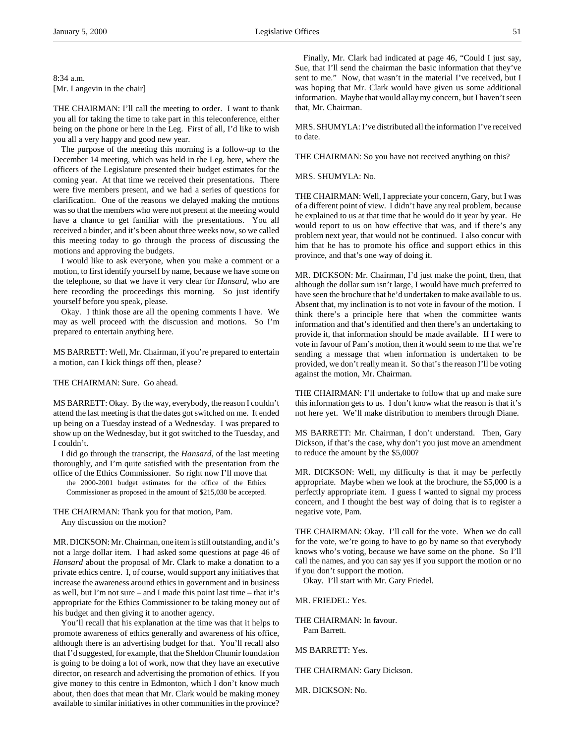THE CHAIRMAN: I'll call the meeting to order. I want to thank you all for taking the time to take part in this teleconference, either being on the phone or here in the Leg. First of all, I'd like to wish you all a very happy and good new year.

The purpose of the meeting this morning is a follow-up to the December 14 meeting, which was held in the Leg. here, where the officers of the Legislature presented their budget estimates for the coming year. At that time we received their presentations. There were five members present, and we had a series of questions for clarification. One of the reasons we delayed making the motions was so that the members who were not present at the meeting would have a chance to get familiar with the presentations. You all received a binder, and it's been about three weeks now, so we called this meeting today to go through the process of discussing the motions and approving the budgets.

I would like to ask everyone, when you make a comment or a motion, to first identify yourself by name, because we have some on the telephone, so that we have it very clear for *Hansard*, who are here recording the proceedings this morning. So just identify yourself before you speak, please.

Okay. I think those are all the opening comments I have. We may as well proceed with the discussion and motions. So I'm prepared to entertain anything here.

MS BARRETT: Well, Mr. Chairman, if you're prepared to entertain a motion, can I kick things off then, please?

THE CHAIRMAN: Sure. Go ahead.

MS BARRETT: Okay. By the way, everybody, the reason I couldn't attend the last meeting is that the dates got switched on me. It ended up being on a Tuesday instead of a Wednesday. I was prepared to show up on the Wednesday, but it got switched to the Tuesday, and I couldn't.

I did go through the transcript, the *Hansard*, of the last meeting thoroughly, and I'm quite satisfied with the presentation from the office of the Ethics Commissioner. So right now I'll move that

the 2000-2001 budget estimates for the office of the Ethics Commissioner as proposed in the amount of \$215,030 be accepted.

THE CHAIRMAN: Thank you for that motion, Pam. Any discussion on the motion?

MR. DICKSON: Mr. Chairman, one item is still outstanding, and it's not a large dollar item. I had asked some questions at page 46 of *Hansard* about the proposal of Mr. Clark to make a donation to a private ethics centre. I, of course, would support any initiatives that increase the awareness around ethics in government and in business as well, but I'm not sure – and I made this point last time – that it's appropriate for the Ethics Commissioner to be taking money out of his budget and then giving it to another agency.

You'll recall that his explanation at the time was that it helps to promote awareness of ethics generally and awareness of his office, although there is an advertising budget for that. You'll recall also that I'd suggested, for example, that the Sheldon Chumir foundation is going to be doing a lot of work, now that they have an executive director, on research and advertising the promotion of ethics. If you give money to this centre in Edmonton, which I don't know much about, then does that mean that Mr. Clark would be making money available to similar initiatives in other communities in the province?

Finally, Mr. Clark had indicated at page 46, "Could I just say, Sue, that I'll send the chairman the basic information that they've sent to me." Now, that wasn't in the material I've received, but I was hoping that Mr. Clark would have given us some additional information. Maybe that would allay my concern, but I haven't seen that, Mr. Chairman.

MRS. SHUMYLA: I've distributed all the information I've received to date.

THE CHAIRMAN: So you have not received anything on this?

MRS. SHUMYLA: No.

THE CHAIRMAN: Well, I appreciate your concern, Gary, but I was of a different point of view. I didn't have any real problem, because he explained to us at that time that he would do it year by year. He would report to us on how effective that was, and if there's any problem next year, that would not be continued. I also concur with him that he has to promote his office and support ethics in this province, and that's one way of doing it.

MR. DICKSON: Mr. Chairman, I'd just make the point, then, that although the dollar sum isn't large, I would have much preferred to have seen the brochure that he'd undertaken to make available to us. Absent that, my inclination is to not vote in favour of the motion. I think there's a principle here that when the committee wants information and that's identified and then there's an undertaking to provide it, that information should be made available. If I were to vote in favour of Pam's motion, then it would seem to me that we're sending a message that when information is undertaken to be provided, we don't really mean it. So that's the reason I'll be voting against the motion, Mr. Chairman.

THE CHAIRMAN: I'll undertake to follow that up and make sure this information gets to us. I don't know what the reason is that it's not here yet. We'll make distribution to members through Diane.

MS BARRETT: Mr. Chairman, I don't understand. Then, Gary Dickson, if that's the case, why don't you just move an amendment to reduce the amount by the \$5,000?

MR. DICKSON: Well, my difficulty is that it may be perfectly appropriate. Maybe when we look at the brochure, the \$5,000 is a perfectly appropriate item. I guess I wanted to signal my process concern, and I thought the best way of doing that is to register a negative vote, Pam.

THE CHAIRMAN: Okay. I'll call for the vote. When we do call for the vote, we're going to have to go by name so that everybody knows who's voting, because we have some on the phone. So I'll call the names, and you can say yes if you support the motion or no if you don't support the motion.

Okay. I'll start with Mr. Gary Friedel.

MR. FRIEDEL: Yes.

THE CHAIRMAN: In favour. Pam Barrett.

MS BARRETT: Yes.

THE CHAIRMAN: Gary Dickson.

MR. DICKSON: No.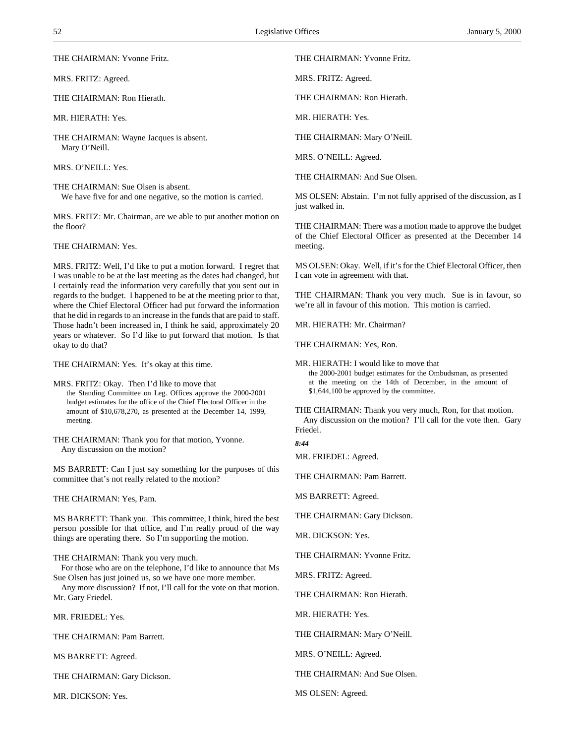THE CHAIRMAN: Yvonne Fritz.

MRS. FRITZ: Agreed.

THE CHAIRMAN: Ron Hierath.

MR. HIERATH: Yes.

THE CHAIRMAN: Wayne Jacques is absent. Mary O'Neill.

MRS. O'NEILL: Yes.

THE CHAIRMAN: Sue Olsen is absent. We have five for and one negative, so the motion is carried.

MRS. FRITZ: Mr. Chairman, are we able to put another motion on the floor?

THE CHAIRMAN: Yes.

MRS. FRITZ: Well, I'd like to put a motion forward. I regret that I was unable to be at the last meeting as the dates had changed, but I certainly read the information very carefully that you sent out in regards to the budget. I happened to be at the meeting prior to that, where the Chief Electoral Officer had put forward the information that he did in regards to an increase in the funds that are paid to staff. Those hadn't been increased in, I think he said, approximately 20 years or whatever. So I'd like to put forward that motion. Is that okay to do that?

THE CHAIRMAN: Yes. It's okay at this time.

MRS. FRITZ: Okay. Then I'd like to move that the Standing Committee on Leg. Offices approve the 2000-2001 budget estimates for the office of the Chief Electoral Officer in the amount of \$10,678,270, as presented at the December 14, 1999, meeting.

THE CHAIRMAN: Thank you for that motion, Yvonne. Any discussion on the motion?

MS BARRETT: Can I just say something for the purposes of this committee that's not really related to the motion?

THE CHAIRMAN: Yes, Pam.

MS BARRETT: Thank you. This committee, I think, hired the best person possible for that office, and I'm really proud of the way things are operating there. So I'm supporting the motion.

THE CHAIRMAN: Thank you very much.

For those who are on the telephone, I'd like to announce that Ms Sue Olsen has just joined us, so we have one more member.

Any more discussion? If not, I'll call for the vote on that motion. Mr. Gary Friedel.

MR. FRIEDEL: Yes.

THE CHAIRMAN: Pam Barrett.

MS BARRETT: Agreed.

THE CHAIRMAN: Gary Dickson.

MR. DICKSON: Yes.

THE CHAIRMAN: Yvonne Fritz.

MRS. FRITZ: Agreed.

THE CHAIRMAN: Ron Hierath.

MR. HIERATH: Yes.

THE CHAIRMAN: Mary O'Neill.

MRS. O'NEILL: Agreed.

THE CHAIRMAN: And Sue Olsen.

MS OLSEN: Abstain. I'm not fully apprised of the discussion, as I just walked in.

THE CHAIRMAN: There was a motion made to approve the budget of the Chief Electoral Officer as presented at the December 14 meeting.

MS OLSEN: Okay. Well, if it's for the Chief Electoral Officer, then I can vote in agreement with that.

THE CHAIRMAN: Thank you very much. Sue is in favour, so we're all in favour of this motion. This motion is carried.

MR. HIERATH: Mr. Chairman?

THE CHAIRMAN: Yes, Ron.

MR. HIERATH: I would like to move that the 2000-2001 budget estimates for the Ombudsman, as presented at the meeting on the 14th of December, in the amount of \$1,644,100 be approved by the committee.

THE CHAIRMAN: Thank you very much, Ron, for that motion. Any discussion on the motion? I'll call for the vote then. Gary Friedel.

*8:44*

MR. FRIEDEL: Agreed.

THE CHAIRMAN: Pam Barrett.

MS BARRETT: Agreed.

THE CHAIRMAN: Gary Dickson.

MR. DICKSON: Yes.

THE CHAIRMAN: Yvonne Fritz.

MRS. FRITZ: Agreed.

THE CHAIRMAN: Ron Hierath.

MR. HIERATH: Yes.

THE CHAIRMAN: Mary O'Neill.

MRS. O'NEILL: Agreed.

THE CHAIRMAN: And Sue Olsen.

MS OLSEN: Agreed.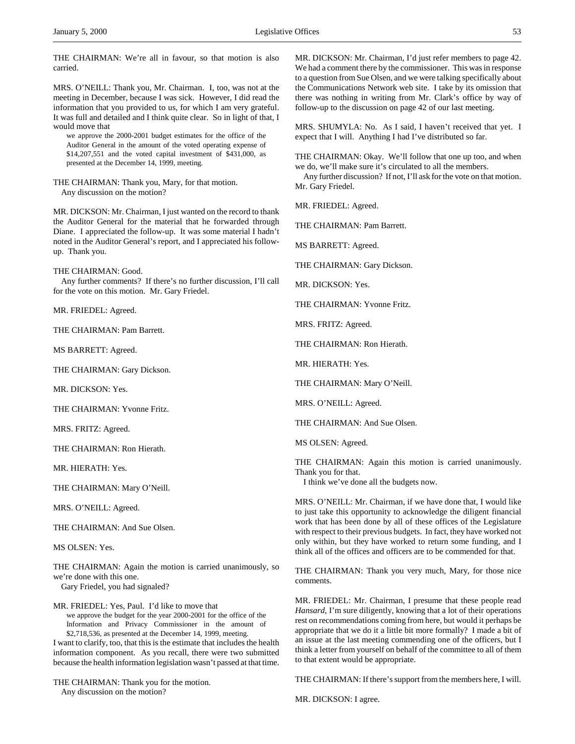THE CHAIRMAN: We're all in favour, so that motion is also carried.

MRS. O'NEILL: Thank you, Mr. Chairman. I, too, was not at the meeting in December, because I was sick. However, I did read the information that you provided to us, for which I am very grateful. It was full and detailed and I think quite clear. So in light of that, I would move that

we approve the 2000-2001 budget estimates for the office of the Auditor General in the amount of the voted operating expense of \$14,207,551 and the voted capital investment of \$431,000, as presented at the December 14, 1999, meeting.

THE CHAIRMAN: Thank you, Mary, for that motion. Any discussion on the motion?

MR. DICKSON: Mr. Chairman, I just wanted on the record to thank the Auditor General for the material that he forwarded through Diane. I appreciated the follow-up. It was some material I hadn't noted in the Auditor General's report, and I appreciated his followup. Thank you.

THE CHAIRMAN: Good.

Any further comments? If there's no further discussion, I'll call for the vote on this motion. Mr. Gary Friedel.

MR. FRIEDEL: Agreed.

THE CHAIRMAN: Pam Barrett.

MS BARRETT: Agreed.

THE CHAIRMAN: Gary Dickson.

MR. DICKSON: Yes.

THE CHAIRMAN: Yvonne Fritz.

MRS. FRITZ: Agreed.

THE CHAIRMAN: Ron Hierath.

MR. HIERATH: Yes.

THE CHAIRMAN: Mary O'Neill.

MRS. O'NEILL: Agreed.

THE CHAIRMAN: And Sue Olsen.

MS OLSEN: Yes.

THE CHAIRMAN: Again the motion is carried unanimously, so we're done with this one.

Gary Friedel, you had signaled?

MR. FRIEDEL: Yes, Paul. I'd like to move that we approve the budget for the year 2000-2001 for the office of the Information and Privacy Commissioner in the amount of \$2,718,536, as presented at the December 14, 1999, meeting. I want to clarify, too, that this is the estimate that includes the health information component. As you recall, there were two submitted

because the health information legislation wasn't passed at that time.

THE CHAIRMAN: Thank you for the motion. Any discussion on the motion?

MR. DICKSON: Mr. Chairman, I'd just refer members to page 42. We had a comment there by the commissioner. This was in response to a question from Sue Olsen, and we were talking specifically about the Communications Network web site. I take by its omission that there was nothing in writing from Mr. Clark's office by way of follow-up to the discussion on page 42 of our last meeting.

MRS. SHUMYLA: No. As I said, I haven't received that yet. I expect that I will. Anything I had I've distributed so far.

THE CHAIRMAN: Okay. We'll follow that one up too, and when we do, we'll make sure it's circulated to all the members.

Any further discussion? If not, I'll ask for the vote on that motion. Mr. Gary Friedel.

MR. FRIEDEL: Agreed.

THE CHAIRMAN: Pam Barrett.

MS BARRETT: Agreed.

THE CHAIRMAN: Gary Dickson.

MR. DICKSON: Yes.

THE CHAIRMAN: Yvonne Fritz.

MRS. FRITZ: Agreed.

THE CHAIRMAN: Ron Hierath.

MR. HIERATH: Yes.

THE CHAIRMAN: Mary O'Neill.

MRS. O'NEILL: Agreed.

THE CHAIRMAN: And Sue Olsen.

MS OLSEN: Agreed.

THE CHAIRMAN: Again this motion is carried unanimously. Thank you for that.

I think we've done all the budgets now.

MRS. O'NEILL: Mr. Chairman, if we have done that, I would like to just take this opportunity to acknowledge the diligent financial work that has been done by all of these offices of the Legislature with respect to their previous budgets. In fact, they have worked not only within, but they have worked to return some funding, and I think all of the offices and officers are to be commended for that.

THE CHAIRMAN: Thank you very much, Mary, for those nice comments.

MR. FRIEDEL: Mr. Chairman, I presume that these people read *Hansard*, I'm sure diligently, knowing that a lot of their operations rest on recommendations coming from here, but would it perhaps be appropriate that we do it a little bit more formally? I made a bit of an issue at the last meeting commending one of the officers, but I think a letter from yourself on behalf of the committee to all of them to that extent would be appropriate.

THE CHAIRMAN: If there's support from the members here, I will.

MR. DICKSON: I agree.